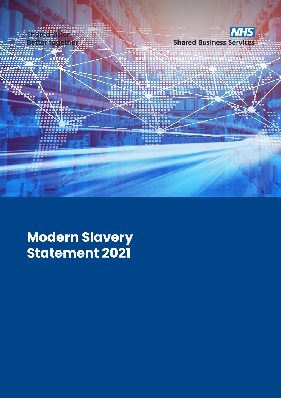

**Modern Slavery Statement 2021**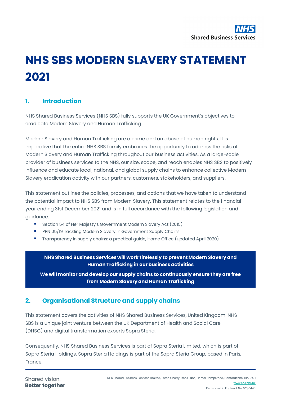# **NHS SBS MODERN SLAVERY STATEMENT 2021**

## **1. Introduction**

NHS Shared Business Services (NHS SBS) fully supports the UK Government's objectives to eradicate Modern Slavery and Human Trafficking.

Modern Slavery and Human Trafficking are a crime and an abuse of human rights. It is imperative that the entire NHS SBS family embraces the opportunity to address the risks of Modern Slavery and Human Trafficking throughout our business activities. As a large-scale provider of business services to the NHS, our size, scope, and reach enables NHS SBS to positively influence and educate local, national, and global supply chains to enhance collective Modern Slavery eradication activity with our partners, customers, stakeholders, and suppliers.

This statement outlines the policies, processes, and actions that we have taken to understand the potential impact to NHS SBS from Modern Slavery. This statement relates to the financial year ending 31st December 2021 and is in full accordance with the following legislation and guidance.

- Section 54 of Her Majesty's Government Modern Slavery Act (2015)
- **PPN 05/19 Tackling Modern Slavery in Government Supply Chains**
- Transparency in supply chains: a practical guide, Home Office (updated April 2020)

**NHS Shared Business Services will work tirelessly to prevent Modern Slavery and Human Trafficking in ourbusiness activities**

**We will monitor and develop our supply chains to continuously ensure they are free from Modern Slavery and Human Trafficking**

## **2. Organisational Structure and supply chains**

This statement covers the activities of NHS Shared Business Services, United Kingdom. NHS SBS is a unique joint venture between the UK Department of Health and Social Care (DHSC) and digital transformation experts Sopra Steria.

Consequently, NHS Shared Business Services is part of Sopra Steria Limited, which is part of Sopra Steria Holdings. Sopra Steria Holdings is part of the Sopra Steria Group, based in Paris, France.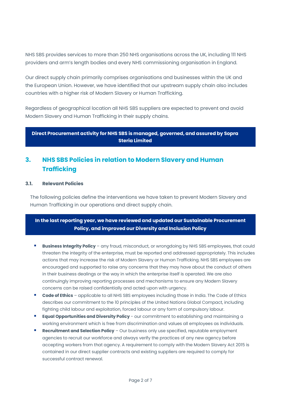NHS SBS provides services to more than 250 NHS organisations across the UK, including 111 NHS providers and arm's length bodies and every NHS commissioning organisation in England.

Our direct supply chain primarily comprises organisations and businesses within the UK and the European Union. However, we have identified that our upstream supply chain also includes countries with a higher risk of Modern Slavery or Human Trafficking.

Regardless of geographical location all NHS SBS suppliers are expected to prevent and avoid Modern Slavery and Human Trafficking in their supply chains.

**Direct Procurement activity for NHS SBS is managed, governed, and assured by Sopra Steria Limited**

## **3. NHS SBS Policies in relation to Modern Slavery and Human Trafficking**

#### **3.1. Relevant Policies**

The following policies define the interventions we have taken to prevent Modern Slavery and Human Trafficking in our operations and direct supply chain.

#### **In the last reporting year, we have reviewed and updated our Sustainable Procurement Policy, and improved our Diversity and Inclusion Policy**

- **Business Integrity Policy** any fraud, misconduct, or wrongdoing by NHS SBS employees, that could threaten the integrity of the enterprise, must be reported and addressed appropriately. This includes actions that may increase the risk of Modern Slavery or Human Trafficking. NHS SBS employees are encouraged and supported to raise any concerns that they may have about the conduct of others in their business dealings or the way in which the enterprise itself is operated. We are also continuingly improving reporting processes and mechanisms to ensure any Modern Slavery concerns can be raised confidentially and acted upon with urgency.
- **Code of Ethics** applicable to all NHS SBS employees including those in India. The Code of Ethics describes our commitment to the 10 principles of the United Nations Global Compact, including fighting child labour and exploitation, forced labour or any form of compulsory labour.
- **Equal Opportunities and Diversity Policy** our commitment to establishing and maintaining a working environment which is free from discrimination and values all employees as individuals.
- **Recruitment and Selection Policy** Our business only use specified, reputable employment agencies to recruit our workforce and always verify the practices of any new agency before accepting workers from that agency. A requirement to comply with the Modern Slavery Act 2015 is contained in our direct supplier contracts and existing suppliers are required to comply for successful contract renewal.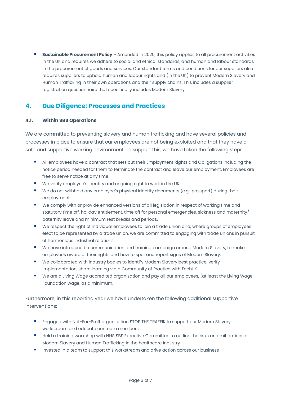**Sustainable Procurement Policy** – Amended in 2020, this policy applies to all procurement activities in the UK and requires we adhere to social and ethical standards, and human and labour standards in the procurement of goods and services. Our standard terms and conditions for our suppliers also requires suppliers to uphold human and labour rights and (in the UK) to prevent Modern Slavery and Human Trafficking in their own operations and their supply chains. This includes a supplier registration questionnaire that specifically includes Modern Slavery.

## **4. Due Diligence: Processes and Practices**

#### **4.1. Within SBS Operations**

We are committed to preventing slavery and human trafficking and have several policies and processes in place to ensure that our employees are not being exploited and that they have a safe and supportive working environment. To support this, we have taken the following steps:

- All employees have a contract that sets out their Employment Rights and Obligations including the notice period needed for them to terminate the contract and leave our employment. Employees are free to serve notice at any time.
- We verify employee's identity and ongoing right to work in the UK.
- We do not withhold any employee's physical identity documents (e.g., passport) during their employment.
- We comply with or provide enhanced versions of all legislation in respect of working time and statutory time off, holiday entitlement, time off for personal emergencies, sickness and maternity/ paternity leave and minimum rest breaks and periods.
- We respect the right of individual employees to join a trade union and, where groups of employees elect to be represented by a trade union, we are committed to engaging with trade unions in pursuit of harmonious industrial relations.
- We have introduced a communication and training campaign around Modern Slavery, to make employees aware of their rights and how to spot and report signs of Modern Slavery.
- We collaborated with industry bodies to identify Modern Slavery best practice, verify implementation, share learning via a Community of Practice with TechUK.
- We are a Living Wage accredited organisation and pay all our employees, (at least the Living Wage Foundation wage, as a minimum.

Furthermore, in this reporting year we have undertaken the following additional supportive interventions:

- **E** Engaged with Not-For-Proft organisation STOP THE TRAFFIK to support our Modern Slavery workstream and educate our team members
- **Held a training workshop with NHS SBS Executive Committee to outline the risks and mitigations of** Modern Slavery and Human Trafficking In the healthcare Industry
- Invested In a team to support this workstream and drive action across our business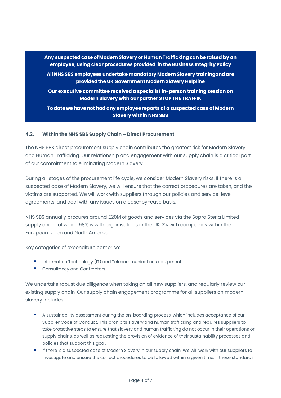**Any suspected case ofModernSlavery orHumanTrafficking canbe raised by an employee, using clear procedures provided in the Business Integrity Policy All NHS SBS employees undertakemandatory Modern Slavery trainingand are providedthe UK Government Modern Slavery Helpline Our executive committee received a specialist in-person training session on Modern Slavery with our partner STOP THE TRAFFIK To date we have not had any employee reports of a suspected case of Modern** 

**Slavery within NHS SBS**

#### **4.2. Within the NHS SBS Supply Chain – Direct Procurement**

The NHS SBS direct procurement supply chain contributes the greatest risk for Modern Slavery and Human Trafficking. Our relationship and engagement with our supply chain is a critical part of our commitment to eliminating Modern Slavery.

During all stages of the procurement life cycle, we consider Modern Slavery risks. If there is a suspected case of Modern Slavery, we will ensure that the correct procedures are taken, and the victims are supported. We will work with suppliers through our policies and service-level agreements, and deal with any issues on a case-by-case basis.

NHS SBS annually procures around £20M of goods and services via the Sopra Steria Limited supply chain, of which 98% is with organisations in the UK, 2% with companies within the European Union and North America.

Key categories of expenditure comprise:

- **Information Technology (IT) and Telecommunications equipment.**
- Consultancy and Contractors.

We undertake robust due diligence when taking on all new suppliers, and regularly review our existing supply chain. Our supply chain engagement programme for all suppliers on modern slavery includes:

- **A** sustainability assessment during the on-boarding process, which includes acceptance of our Supplier Code of Conduct. This prohibits slavery and human trafficking and requires suppliers to take proactive steps to ensure that slavery and human trafficking do not occur in their operations or supply chains, as well as requesting the provision of evidence of their sustainability processes and policies that support this goal.
- If there is a suspected case of Modern Slavery in our supply chain. We will work with our suppliers to investigate and ensure the correct procedures to be followed within a given time. If these standards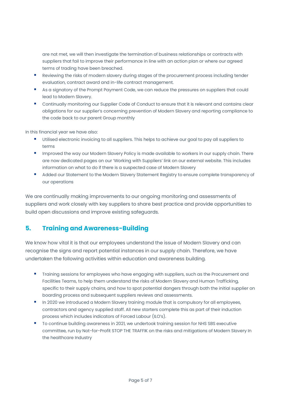are not met, we will then investigate the termination of business relationships or contracts with suppliers that fail to improve their performance in line with an action plan or where our agreed terms of trading have been breached.

- **Reviewing the risks of modern slavery during stages of the procurement process including tender** evaluation, contract award and in-life contract management.
- As a signatory of the Prompt Payment Code, we can reduce the pressures on suppliers that could lead to Modern Slavery.
- **Continually monitoring our Supplier Code of Conduct to ensure that it is relevant and contains clear** obligations for our supplier's concerning prevention of Modern Slavery and reporting compliance to the code back to our parent Group monthly

In this financial year we have also:

- Utilised electronic invoicing to all suppliers. This helps to achieve our goal to pay all suppliers to terms
- **IMPROVED THE WAY OUT MODER IS UPPER** IN MODER 1 MODER 10 WORKERS IN OUR SUPPLY Chain. There are now dedicated pages on our 'Working with Suppliers' link on our external website. This includes information on what to do if there is a suspected case of Modern Slavery
- **Added our Statement to the Modern Slavery Statement Registry to ensure complete transparency of** our operations

We are continually making improvements to our ongoing monitoring and assessments of suppliers and work closely with key suppliers to share best practice and provide opportunities to build open discussions and improve existing safeguards.

## **5. Training and Awareness-Building**

We know how vital it is that our employees understand the issue of Modern Slavery and can recognise the signs and report potential instances in our supply chain. Therefore, we have undertaken the following activities within education and awareness building.

- **Training sessions for employees who have engaging with suppliers, such as the Procurement and** Facilities Teams, to help them understand the risks of Modern Slavery and Human Trafficking, specific to their supply chains, and how to spot potential dangers through both the initial supplier on boarding process and subsequent suppliers reviews and assessments.
- In 2020 we introduced a Modern Slavery training module that is compulsory for all employees, contractors and agency supplied staff. All new starters complete this as part of their induction process which includes indicators of Forced Labour (ILO's).
- To continue building awareness in 2021, we undertook training session for NHS SBS executive committee, run by Not-for-Profit STOP THE TRAFFIK on the risks and mitigations of Modern Slavery In the healthcare Industry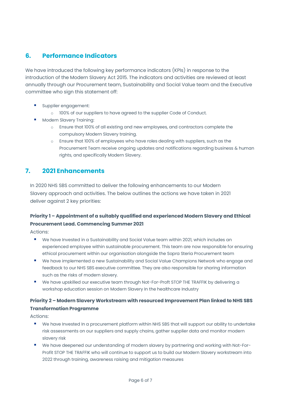## **6. Performance Indicators**

We have introduced the following key performance indicators (KPIs) in response to the introduction of the Modern Slavery Act 2015. The indicators and activities are reviewed at least annually through our Procurement team, Sustainability and Social Value team and the Executive committee who sign this statement off:

- Supplier engagement:
	- o 100% of our suppliers to have agreed to the supplier Code of Conduct.
- Modern Slavery Training:
	- o Ensure that 100% of all existing and new employees, and contractors complete the compulsory Modern Slavery training.
	- o Ensure that 100% of employees who have roles dealing with suppliers, such as the Procurement Team receive ongoing updates and notifications regarding business & human rights, and specifically Modern Slavery.

## **7. 2021 Enhancements**

In 2020 NHS SBS committed to deliver the following enhancements to our Modern Slavery approach and activities. The below outlines the actions we have taken in 2021 deliver against 2 key priorities:

#### **Priority 1 – Appointment of a suitably qualified and experienced Modern Slavery and Ethical Procurement Lead. Commencing Summer 2021**

Actions:

- We have Invested in a Sustainability and Social Value team within 2021, which includes an experienced employee within sustainable procurement. This team are now responsible for ensuring ethical procurement within our organisation alongside the Sopra Steria Procurement team
- We have implemented a new Sustainability and Social Value Champions Network who engage and feedback to our NHS SBS executive committee. They are also responsible for sharing information such as the risks of modern slavery.
- We have upskilled our executive team through Not-For-Proft STOP THE TRAFFIK by delivering a workshop education session on Modern Slavery In the healthcare Industry

#### **Priority 2 – Modern Slavery Workstream with resourced Improvement Plan linked to NHS SBS Transformation Programme**

Actions:

- We have Invested In a procurement platform within NHS SBS that will support our ability to undertake risk assessments on our suppliers and supply chains, gather supplier data and monitor modern slavery risk
- We have deepened our understanding of modern slavery by partnering and working with Not-For-Profit STOP THE TRAFFIK who will continue to support us to build our Modern Slavery workstream into 2022 through training, awareness raising and mitigation measures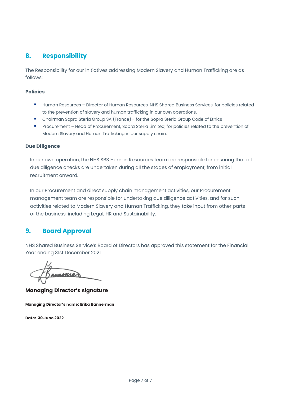## **8. Responsibility**

The Responsibility for our initiatives addressing Modern Slavery and Human Trafficking are as follows:

#### **Policies**

- **Human Resources Director of Human Resources, NHS Shared Business Services, for policies related** to the prevention of slavery and human trafficking in our own operations.
- Chairman Sopra Steria Group SA (France) for the Sopra Steria Group Code of Ethics
- **Procurement Head of Procurement, Sopra Steria Limited, for policies related to the prevention of** Modern Slavery and Human Trafficking in our supply chain.

#### **Due Diligence**

In our own operation, the NHS SBS Human Resources team are responsible for ensuring that all due diligence checks are undertaken during all the stages of employment, from initial recruitment onward.

In our Procurement and direct supply chain management activities, our Procurement management team are responsible for undertaking due diligence activities, and for such activities related to Modern Slavery and Human Trafficking, they take input from other parts of the business, including Legal, HR and Sustainability.

#### **9. Board Approval**

NHS Shared Business Service's Board of Directors has approved this statement for the Financial Year ending 31st December 2021

<u>annomar</u>

**Managing Director's signature**

**Managing Director's name: Erika Bannerman**

**Date: 30 June 2022**